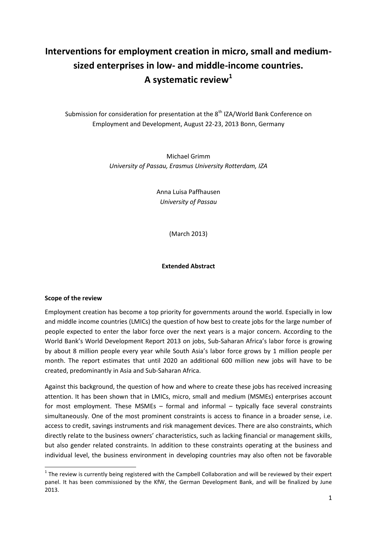# **Interventions for employment creation in micro, small and mediumsized enterprises in low- and middle-income countries. A systematic review<sup>1</sup>**

Submission for consideration for presentation at the  $8<sup>th</sup>$  IZA/World Bank Conference on Employment and Development, August 22-23, 2013 Bonn, Germany

> Michael Grimm *University of Passau, Erasmus University Rotterdam, IZA*

> > Anna Luisa Paffhausen *University of Passau*

> > > (March 2013)

# **Extended Abstract**

#### **Scope of the review**

**.** 

Employment creation has become a top priority for governments around the world. Especially in low and middle income countries (LMICs) the question of how best to create jobs for the large number of people expected to enter the labor force over the next years is a major concern. According to the World Bank's World Development Report 2013 on jobs, Sub-Saharan Africa's labor force is growing by about 8 million people every year while South Asia's labor force grows by 1 million people per month. The report estimates that until 2020 an additional 600 million new jobs will have to be created, predominantly in Asia and Sub-Saharan Africa.

Against this background, the question of how and where to create these jobs has received increasing attention. It has been shown that in LMICs, micro, small and medium (MSMEs) enterprises account for most employment. These MSMEs – formal and informal – typically face several constraints simultaneously. One of the most prominent constraints is access to finance in a broader sense, i.e. access to credit, savings instruments and risk management devices. There are also constraints, which directly relate to the business owners' characteristics, such as lacking financial or management skills, but also gender related constraints. In addition to these constraints operating at the business and individual level, the business environment in developing countries may also often not be favorable

 $1$  The review is currently being registered with the Campbell Collaboration and will be reviewed by their expert panel. It has been commissioned by the KfW, the German Development Bank, and will be finalized by June 2013.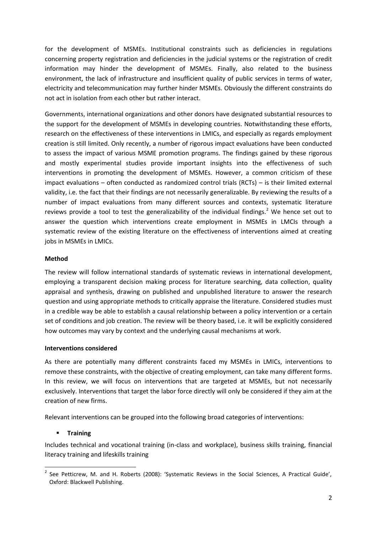for the development of MSMEs. Institutional constraints such as deficiencies in regulations concerning property registration and deficiencies in the judicial systems or the registration of credit information may hinder the development of MSMEs. Finally, also related to the business environment, the lack of infrastructure and insufficient quality of public services in terms of water, electricity and telecommunication may further hinder MSMEs. Obviously the different constraints do not act in isolation from each other but rather interact.

Governments, international organizations and other donors have designated substantial resources to the support for the development of MSMEs in developing countries. Notwithstanding these efforts, research on the effectiveness of these interventions in LMICs, and especially as regards employment creation is still limited. Only recently, a number of rigorous impact evaluations have been conducted to assess the impact of various MSME promotion programs. The findings gained by these rigorous and mostly experimental studies provide important insights into the effectiveness of such interventions in promoting the development of MSMEs. However, a common criticism of these impact evaluations – often conducted as randomized control trials (RCTs) – is their limited external validity, i.e. the fact that their findings are not necessarily generalizable. By reviewing the results of a number of impact evaluations from many different sources and contexts, systematic literature reviews provide a tool to test the generalizability of the individual findings.<sup>2</sup> We hence set out to answer the question which interventions create employment in MSMEs in LMCIs through a systematic review of the existing literature on the effectiveness of interventions aimed at creating jobs in MSMEs in LMICs.

## **Method**

The review will follow international standards of systematic reviews in international development, employing a transparent decision making process for literature searching, data collection, quality appraisal and synthesis, drawing on published and unpublished literature to answer the research question and using appropriate methods to critically appraise the literature. Considered studies must in a credible way be able to establish a causal relationship between a policy intervention or a certain set of conditions and job creation. The review will be theory based, i.e. it will be explicitly considered how outcomes may vary by context and the underlying causal mechanisms at work.

# **Interventions considered**

As there are potentially many different constraints faced my MSMEs in LMICs, interventions to remove these constraints, with the objective of creating employment, can take many different forms. In this review, we will focus on interventions that are targeted at MSMEs, but not necessarily exclusively. Interventions that target the labor force directly will only be considered if they aim at the creation of new firms.

Relevant interventions can be grouped into the following broad categories of interventions:

# **Training**

Includes technical and vocational training (in-class and workplace), business skills training, financial literacy training and lifeskills training

 2 See Petticrew, M. and H. Roberts (2008): 'Systematic Reviews in the Social Sciences, A Practical Guide', Oxford: Blackwell Publishing.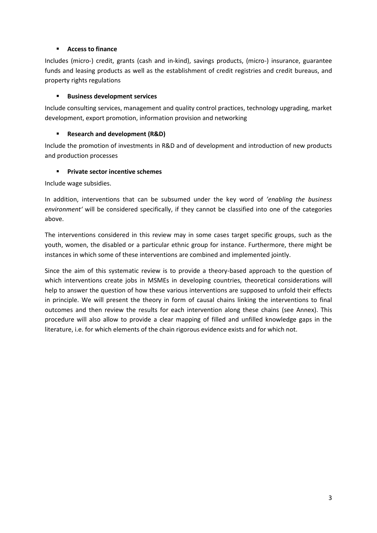# **Access to finance**

Includes (micro-) credit, grants (cash and in-kind), savings products, (micro-) insurance, guarantee funds and leasing products as well as the establishment of credit registries and credit bureaus, and property rights regulations

# **Business development services**

Include consulting services, management and quality control practices, technology upgrading, market development, export promotion, information provision and networking

# **Research and development (R&D)**

Include the promotion of investments in R&D and of development and introduction of new products and production processes

# **Private sector incentive schemes**

Include wage subsidies.

In addition, interventions that can be subsumed under the key word of *'enabling the business environment'* will be considered specifically, if they cannot be classified into one of the categories above.

The interventions considered in this review may in some cases target specific groups, such as the youth, women, the disabled or a particular ethnic group for instance. Furthermore, there might be instances in which some of these interventions are combined and implemented jointly.

Since the aim of this systematic review is to provide a theory-based approach to the question of which interventions create jobs in MSMEs in developing countries, theoretical considerations will help to answer the question of how these various interventions are supposed to unfold their effects in principle. We will present the theory in form of causal chains linking the interventions to final outcomes and then review the results for each intervention along these chains (see Annex). This procedure will also allow to provide a clear mapping of filled and unfilled knowledge gaps in the literature, i.e. for which elements of the chain rigorous evidence exists and for which not.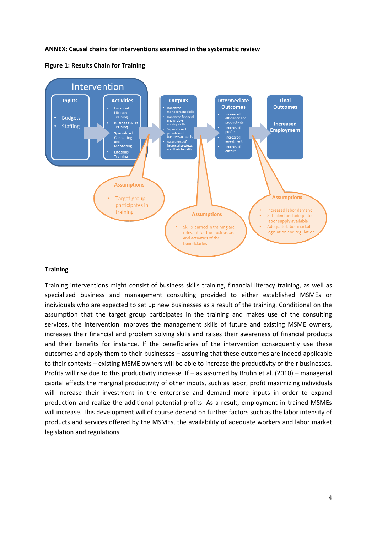#### **ANNEX: Causal chains for interventions examined in the systematic review**





#### **Training**

Training interventions might consist of business skills training, financial literacy training, as well as specialized business and management consulting provided to either established MSMEs or individuals who are expected to set up new businesses as a result of the training. Conditional on the assumption that the target group participates in the training and makes use of the consulting services, the intervention improves the management skills of future and existing MSME owners, increases their financial and problem solving skills and raises their awareness of financial products and their benefits for instance. If the beneficiaries of the intervention consequently use these outcomes and apply them to their businesses – assuming that these outcomes are indeed applicable to their contexts – existing MSME owners will be able to increase the productivity of their businesses. Profits will rise due to this productivity increase. If – as assumed by Bruhn et al. (2010) – managerial capital affects the marginal productivity of other inputs, such as labor, profit maximizing individuals will increase their investment in the enterprise and demand more inputs in order to expand production and realize the additional potential profits. As a result, employment in trained MSMEs will increase. This development will of course depend on further factors such as the labor intensity of products and services offered by the MSMEs, the availability of adequate workers and labor market legislation and regulations.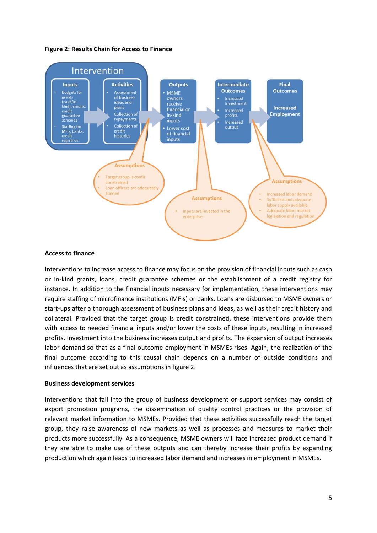



#### **Access to finance**

Interventions to increase access to finance may focus on the provision of financial inputs such as cash or in-kind grants, loans, credit guarantee schemes or the establishment of a credit registry for instance. In addition to the financial inputs necessary for implementation, these interventions may require staffing of microfinance institutions (MFIs) or banks. Loans are disbursed to MSME owners or start-ups after a thorough assessment of business plans and ideas, as well as their credit history and collateral. Provided that the target group is credit constrained, these interventions provide them with access to needed financial inputs and/or lower the costs of these inputs, resulting in increased profits. Investment into the business increases output and profits. The expansion of output increases labor demand so that as a final outcome employment in MSMEs rises. Again, the realization of the final outcome according to this causal chain depends on a number of outside conditions and influences that are set out as assumptions in figure 2.

#### **Business development services**

Interventions that fall into the group of business development or support services may consist of export promotion programs, the dissemination of quality control practices or the provision of relevant market information to MSMEs. Provided that these activities successfully reach the target group, they raise awareness of new markets as well as processes and measures to market their products more successfully. As a consequence, MSME owners will face increased product demand if they are able to make use of these outputs and can thereby increase their profits by expanding production which again leads to increased labor demand and increases in employment in MSMEs.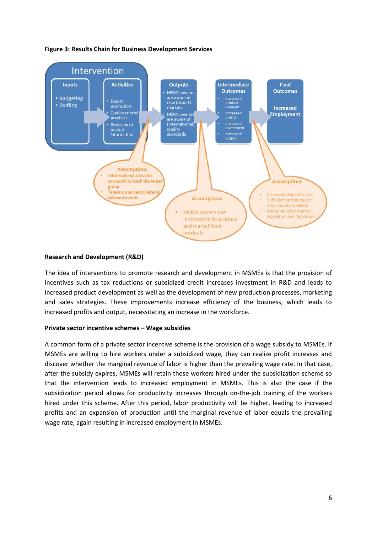

## **Figure 3: Results Chain for Business Development Services**

## **Research and Development (R&D)**

The idea of interventions to promote research and development in MSMEs is that the provision of incentives such as tax reductions or subsidized credit increases investment in R&D and leads to increased product development as well as the development of new production processes, marketing and sales strategies. These improvements increase efficiency of the business, which leads to increased profits and output, necessitating an increase in the workforce.

#### **Private sector incentive schemes – Wage subsidies**

A common form of a private sector incentive scheme is the provision of a wage subsidy to MSMEs. If MSMEs are willing to hire workers under a subsidized wage, they can realize profit increases and discover whether the marginal revenue of labor is higher than the prevailing wage rate. In that case, after the subsidy expires, MSMEs will retain those workers hired under the subsidization scheme so that the intervention leads to increased employment in MSMEs. This is also the case if the subsidization period allows for productivity increases through on-the-job training of the workers hired under this scheme. After this period, labor productivity will be higher, leading to increased profits and an expansion of production until the marginal revenue of labor equals the prevailing wage rate, again resulting in increased employment in MSMEs.